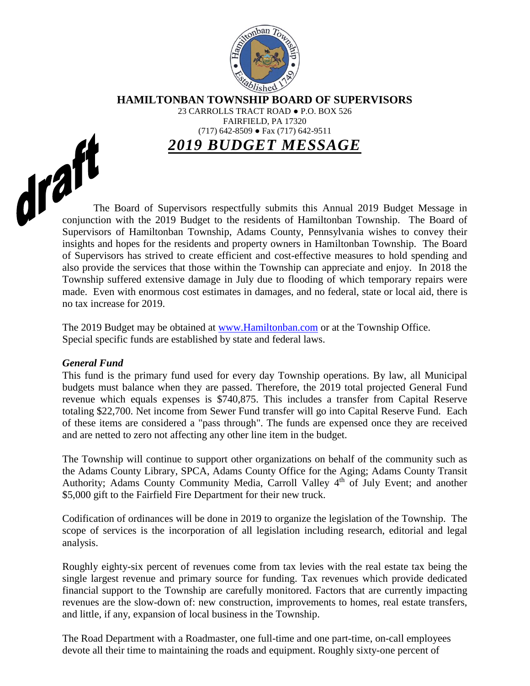

**HAMILTONBAN TOWNSHIP BOARD OF SUPERVISORS**

23 CARROLLS TRACT ROAD ● P.O. BOX 526 FAIRFIELD, PA 17320 (717) 642-8509 ● Fax (717) 642-9511

*2019 BUDGET MESSAGE*

The Board of Supervisors respectfully submits this Annual 2019 Budget Message in conjunction with the 2019 Budget Lines conjunction with the 2019 Budget to the residents of Hamiltonban Township. The Board of Supervisors of Hamiltonban Township, Adams County, Pennsylvania wishes to convey their insights and hopes for the residents and property owners in Hamiltonban Township. The Board of Supervisors has strived to create efficient and cost-effective measures to hold spending and also provide the services that those within the Township can appreciate and enjoy. In 2018 the Township suffered extensive damage in July due to flooding of which temporary repairs were made. Even with enormous cost estimates in damages, and no federal, state or local aid, there is no tax increase for 2019.

> The 2019 Budget may be obtained at [www.Hamiltonban.com](http://www.hamiltonban.com/) or at the Township Office. Special specific funds are established by state and federal laws.

## *General Fund*

This fund is the primary fund used for every day Township operations. By law, all Municipal budgets must balance when they are passed. Therefore, the 2019 total projected General Fund revenue which equals expenses is \$740,875. This includes a transfer from Capital Reserve totaling \$22,700. Net income from Sewer Fund transfer will go into Capital Reserve Fund. Each of these items are considered a "pass through". The funds are expensed once they are received and are netted to zero not affecting any other line item in the budget.

The Township will continue to support other organizations on behalf of the community such as the Adams County Library, SPCA, Adams County Office for the Aging; Adams County Transit Authority; Adams County Community Media, Carroll Valley 4<sup>th</sup> of July Event; and another \$5,000 gift to the Fairfield Fire Department for their new truck.

Codification of ordinances will be done in 2019 to organize the legislation of the Township. The scope of services is the incorporation of all legislation including research, editorial and legal analysis.

Roughly eighty-six percent of revenues come from tax levies with the real estate tax being the single largest revenue and primary source for funding. Tax revenues which provide dedicated financial support to the Township are carefully monitored. Factors that are currently impacting revenues are the slow-down of: new construction, improvements to homes, real estate transfers, and little, if any, expansion of local business in the Township.

The Road Department with a Roadmaster, one full-time and one part-time, on-call employees devote all their time to maintaining the roads and equipment. Roughly sixty-one percent of